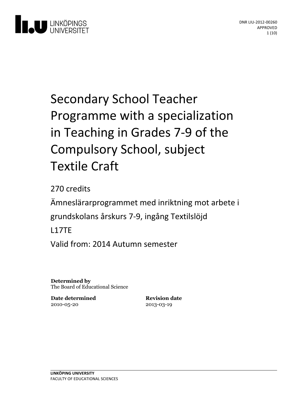

# Secondary School Teacher Programme with a specialization in Teaching in Grades 7-9 of the Compulsory School, subject Textile Craft

270 credits Ämneslärarprogrammet med inriktning motarbete i grundskolans årskurs 7-9, ingång Textilslöjd L17TE Valid from: 2014 Autumn semester

**Determined by** The Board of Educational Science

**Date determined** 2010-05-20

**Revision date** 2013-03-19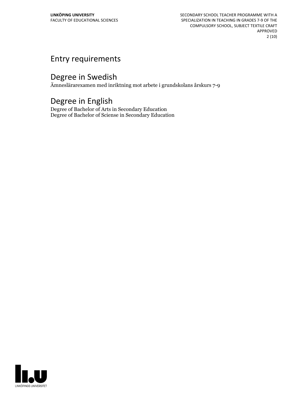SECONDARY SCHOOL TEACHER PROGRAMME WITH A SPECIALIZATION IN TEACHING IN GRADES 7-9 OF THE COMPULSORY SCHOOL, SUBJECT TEXTILE CRAFT APPROVED 2 (10)

## Entry requirements

## Degree in Swedish

Ämneslärarexamen med inriktning mot arbete i grundskolans årskurs 7-9

### Degree in English

Degree of Bachelor of Arts in Secondary Education Degree of Bachelor of Sciense in Secondary Education

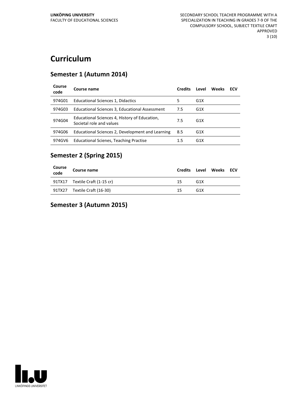# **Curriculum**

#### **Semester 1 (Autumn 2014)**

| Course<br>code | Course name                                                               | <b>Credits</b> | Level            | Weeks | ECV |
|----------------|---------------------------------------------------------------------------|----------------|------------------|-------|-----|
| 974G01         | Educational Sciences 1, Didactics                                         | 5              | G <sub>1</sub> X |       |     |
| 974G03         | Educational Sciences 3, Educational Assessment                            | 7.5            | G <sub>1</sub> X |       |     |
| 974G04         | Educational Sciences 4, History of Education,<br>Societal role and values | 7.5            | G <sub>1</sub> X |       |     |
| 974G06         | Educational Sciences 2, Development and Learning                          | 8.5            | G <sub>1</sub> X |       |     |
| 974GV6         | <b>Educational Scienes, Teaching Practise</b>                             | 1.5            | G <sub>1</sub> X |       |     |

#### **Semester 2 (Spring 2015)**

| Course<br>code | Course name                    | <b>Credits</b> |                 | Level Weeks ECV |  |
|----------------|--------------------------------|----------------|-----------------|-----------------|--|
|                | 91TX17 Textile Craft (1-15 cr) | 15             | G <sub>1X</sub> |                 |  |
|                | 91TX27 Textile Craft (16-30)   | 15             | G <sub>1X</sub> |                 |  |

#### **Semester 3 (Autumn 2015)**

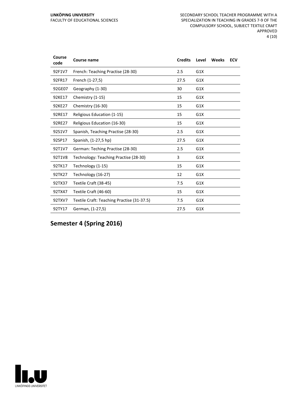| Course<br>code | <b>Course name</b>                         | <b>Credits</b> | Level | Weeks | <b>ECV</b> |
|----------------|--------------------------------------------|----------------|-------|-------|------------|
| 92F1V7         | French: Teaching Practise (28-30)          | 2.5            | G1X   |       |            |
| 92FR17         | French (1-27,5)                            | 27.5           | G1X   |       |            |
| 92GE07         | Geography (1-30)                           | 30             | G1X   |       |            |
| 92KE17         | Chemistry (1-15)                           | 15             | G1X   |       |            |
| 92KE27         | Chemistry (16-30)                          | 15             | G1X   |       |            |
| 92RE17         | Religious Education (1-15)                 | 15             | G1X   |       |            |
| 92RE27         | Religious Education (16-30)                | 15             | G1X   |       |            |
| 92S1V7         | Spanish, Teaching Practise (28-30)         | 2.5            | G1X   |       |            |
| 92SP17         | Spanish, (1-27,5 hp)                       | 27.5           | G1X   |       |            |
| 92T1V7         | German: Teching Practise (28-30)           | 2.5            | G1X   |       |            |
| 92T1V8         | Technology: Teaching Practise (28-30)      | 3              | G1X   |       |            |
| 92TK17         | Technology (1-15)                          | 15             | G1X   |       |            |
| 92TK27         | Technology (16-27)                         | 12             | G1X   |       |            |
| 92TX37         | Textile Craft (38-45)                      | 7.5            | G1X   |       |            |
| 92TX47         | Textile Craft (46-60)                      | 15             | G1X   |       |            |
| 92TXV7         | Textile Craft: Teaching Practise (31-37.5) | 7.5            | G1X   |       |            |
| 92TY17         | German, (1-27,5)                           | 27.5           | G1X   |       |            |

**Semester 4 (Spring 2016)**

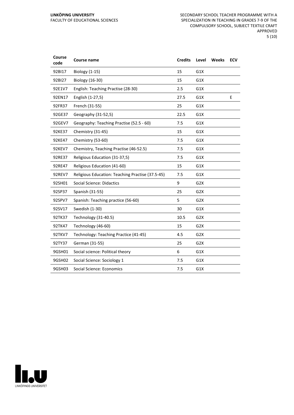| <b>Biology (1-15)</b><br>15<br>G1X<br>92BI17<br>92BI27<br><b>Biology (16-30)</b><br>15<br>G1X<br>English: Teaching Practise (28-30)<br>2.5<br>G1X<br>92E1V7<br>92EN17<br>English (1-27,5)<br>27.5<br>G1X<br>E<br>92FR37<br>French (31-55)<br>25<br>G1X<br>92GE37<br>Geography (31-52,5)<br>22.5<br>G1X<br>Geography: Teaching Practise (52.5 - 60)<br>92GEV7<br>7.5<br>G1X<br>92KE37<br>Chemistry (31-45)<br>15<br>G1X<br>Chemistry (53-60)<br>92KE47<br>7.5<br>G1X<br>92KEV7<br>Chemistry, Teaching Practise (46-52.5)<br>7.5<br>G1X<br>Religious Education (31-37,5)<br>92RE37<br>7.5<br>G1X<br>Religious Education (41-60)<br>G1X<br>92RE47<br>15<br>Religious Education: Teaching Practise (37.5-45)<br>92REV7<br>7.5<br>G1X<br>92SH01<br><b>Social Science: Didactics</b><br>9<br>G <sub>2</sub> X<br>92SP37<br>25<br>G <sub>2</sub> X<br>Spanish (31-55)<br>92SPV7<br>Spanish: Teaching practice (56-60)<br>5<br>G2X<br>30<br>92SV17<br>Swedish (1-30)<br>G1X<br>Technology (31-40.5)<br>10.5<br>G <sub>2</sub> X<br>92TK37<br>92TK47<br>Technology (46-60)<br>15<br>G2X<br>92TKV7<br>Technology: Teaching Practice (41-45)<br>4.5<br>G <sub>2</sub> X<br>German (31-55)<br>25<br>92TY37<br>G2X<br>9GSH01<br>Social science: Political theory<br>6<br>G1X<br>9GSH02<br>Social Science: Sociology 1<br>7.5<br>G1X | Course<br>code | Course name | <b>Credits</b> | Level | Weeks | <b>ECV</b> |
|------------------------------------------------------------------------------------------------------------------------------------------------------------------------------------------------------------------------------------------------------------------------------------------------------------------------------------------------------------------------------------------------------------------------------------------------------------------------------------------------------------------------------------------------------------------------------------------------------------------------------------------------------------------------------------------------------------------------------------------------------------------------------------------------------------------------------------------------------------------------------------------------------------------------------------------------------------------------------------------------------------------------------------------------------------------------------------------------------------------------------------------------------------------------------------------------------------------------------------------------------------------------------------------------------------------------|----------------|-------------|----------------|-------|-------|------------|
|                                                                                                                                                                                                                                                                                                                                                                                                                                                                                                                                                                                                                                                                                                                                                                                                                                                                                                                                                                                                                                                                                                                                                                                                                                                                                                                        |                |             |                |       |       |            |
|                                                                                                                                                                                                                                                                                                                                                                                                                                                                                                                                                                                                                                                                                                                                                                                                                                                                                                                                                                                                                                                                                                                                                                                                                                                                                                                        |                |             |                |       |       |            |
|                                                                                                                                                                                                                                                                                                                                                                                                                                                                                                                                                                                                                                                                                                                                                                                                                                                                                                                                                                                                                                                                                                                                                                                                                                                                                                                        |                |             |                |       |       |            |
|                                                                                                                                                                                                                                                                                                                                                                                                                                                                                                                                                                                                                                                                                                                                                                                                                                                                                                                                                                                                                                                                                                                                                                                                                                                                                                                        |                |             |                |       |       |            |
|                                                                                                                                                                                                                                                                                                                                                                                                                                                                                                                                                                                                                                                                                                                                                                                                                                                                                                                                                                                                                                                                                                                                                                                                                                                                                                                        |                |             |                |       |       |            |
|                                                                                                                                                                                                                                                                                                                                                                                                                                                                                                                                                                                                                                                                                                                                                                                                                                                                                                                                                                                                                                                                                                                                                                                                                                                                                                                        |                |             |                |       |       |            |
|                                                                                                                                                                                                                                                                                                                                                                                                                                                                                                                                                                                                                                                                                                                                                                                                                                                                                                                                                                                                                                                                                                                                                                                                                                                                                                                        |                |             |                |       |       |            |
|                                                                                                                                                                                                                                                                                                                                                                                                                                                                                                                                                                                                                                                                                                                                                                                                                                                                                                                                                                                                                                                                                                                                                                                                                                                                                                                        |                |             |                |       |       |            |
|                                                                                                                                                                                                                                                                                                                                                                                                                                                                                                                                                                                                                                                                                                                                                                                                                                                                                                                                                                                                                                                                                                                                                                                                                                                                                                                        |                |             |                |       |       |            |
|                                                                                                                                                                                                                                                                                                                                                                                                                                                                                                                                                                                                                                                                                                                                                                                                                                                                                                                                                                                                                                                                                                                                                                                                                                                                                                                        |                |             |                |       |       |            |
|                                                                                                                                                                                                                                                                                                                                                                                                                                                                                                                                                                                                                                                                                                                                                                                                                                                                                                                                                                                                                                                                                                                                                                                                                                                                                                                        |                |             |                |       |       |            |
|                                                                                                                                                                                                                                                                                                                                                                                                                                                                                                                                                                                                                                                                                                                                                                                                                                                                                                                                                                                                                                                                                                                                                                                                                                                                                                                        |                |             |                |       |       |            |
|                                                                                                                                                                                                                                                                                                                                                                                                                                                                                                                                                                                                                                                                                                                                                                                                                                                                                                                                                                                                                                                                                                                                                                                                                                                                                                                        |                |             |                |       |       |            |
|                                                                                                                                                                                                                                                                                                                                                                                                                                                                                                                                                                                                                                                                                                                                                                                                                                                                                                                                                                                                                                                                                                                                                                                                                                                                                                                        |                |             |                |       |       |            |
|                                                                                                                                                                                                                                                                                                                                                                                                                                                                                                                                                                                                                                                                                                                                                                                                                                                                                                                                                                                                                                                                                                                                                                                                                                                                                                                        |                |             |                |       |       |            |
|                                                                                                                                                                                                                                                                                                                                                                                                                                                                                                                                                                                                                                                                                                                                                                                                                                                                                                                                                                                                                                                                                                                                                                                                                                                                                                                        |                |             |                |       |       |            |
|                                                                                                                                                                                                                                                                                                                                                                                                                                                                                                                                                                                                                                                                                                                                                                                                                                                                                                                                                                                                                                                                                                                                                                                                                                                                                                                        |                |             |                |       |       |            |
|                                                                                                                                                                                                                                                                                                                                                                                                                                                                                                                                                                                                                                                                                                                                                                                                                                                                                                                                                                                                                                                                                                                                                                                                                                                                                                                        |                |             |                |       |       |            |
|                                                                                                                                                                                                                                                                                                                                                                                                                                                                                                                                                                                                                                                                                                                                                                                                                                                                                                                                                                                                                                                                                                                                                                                                                                                                                                                        |                |             |                |       |       |            |
|                                                                                                                                                                                                                                                                                                                                                                                                                                                                                                                                                                                                                                                                                                                                                                                                                                                                                                                                                                                                                                                                                                                                                                                                                                                                                                                        |                |             |                |       |       |            |
|                                                                                                                                                                                                                                                                                                                                                                                                                                                                                                                                                                                                                                                                                                                                                                                                                                                                                                                                                                                                                                                                                                                                                                                                                                                                                                                        |                |             |                |       |       |            |
|                                                                                                                                                                                                                                                                                                                                                                                                                                                                                                                                                                                                                                                                                                                                                                                                                                                                                                                                                                                                                                                                                                                                                                                                                                                                                                                        |                |             |                |       |       |            |
|                                                                                                                                                                                                                                                                                                                                                                                                                                                                                                                                                                                                                                                                                                                                                                                                                                                                                                                                                                                                                                                                                                                                                                                                                                                                                                                        |                |             |                |       |       |            |
| 9GSH03<br>Social Science: Economics<br>7.5<br>G1X                                                                                                                                                                                                                                                                                                                                                                                                                                                                                                                                                                                                                                                                                                                                                                                                                                                                                                                                                                                                                                                                                                                                                                                                                                                                      |                |             |                |       |       |            |

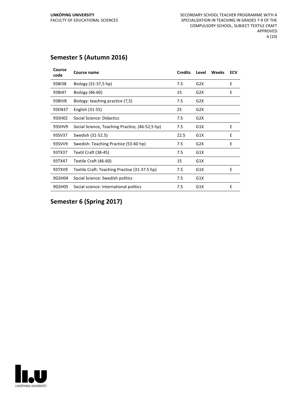#### **Semester 5 (Autumn 2016)**

| Course<br>code | Course name                                     | <b>Credits</b> | Level            | <b>Weeks</b> | <b>ECV</b> |
|----------------|-------------------------------------------------|----------------|------------------|--------------|------------|
| 93BI38         | Biology (31-37,5 hp)                            | 7.5            | G2X              |              | E          |
| 93BI47         | Biology (46-60)                                 | 15             | G <sub>2</sub> X |              | E          |
| 93BIV8         | Biology: teaching practice (7,5)                | 7.5            | G2X              |              |            |
| 93EN37         | English (31-55)                                 | 25             | G <sub>2</sub> X |              |            |
| 93SH02         | Social Science: Didactics                       | 7.5            | G2X              |              |            |
| 93SHV9         | Social Science, Teaching Practice, (46-52,5 hp) | 7.5            | G1X              |              | E          |
| 93SV37         | Swedish (31-52.5)                               | 22.5           | G1X              |              | E          |
| 93SVV9         | Swedish: Teaching Practice (53-60 hp)           | 7.5            | G2X              |              | E          |
| 93TX37         | Textil Craft (38-45)                            | 7.5            | G1X              |              |            |
| 93TX47         | Textile Craft (46-60)                           | 15             | G1X              |              |            |
| 93TXV9         | Textile Craft: Teaching Practise (31-37.5 hp)   | 7.5            | G1X              |              | E          |
| 9GSH04         | Social Science: Swedish politics                | 7.5            | G1X              |              |            |
| 9GSH05         | Social science: International politics          | 7.5            | G1X              |              | E          |

#### **Semester 6 (Spring 2017)**

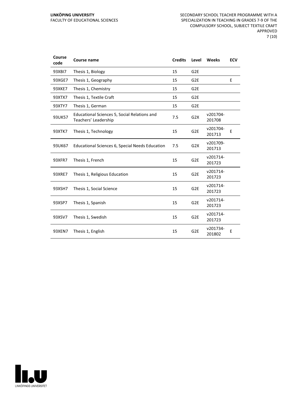| Course<br>code | Course name                                                          | <b>Credits</b> | Level            | <b>Weeks</b>       | <b>ECV</b> |
|----------------|----------------------------------------------------------------------|----------------|------------------|--------------------|------------|
| 93XB17         | Thesis 1, Biology                                                    | 15             | G <sub>2E</sub>  |                    |            |
| 93XGE7         | Thesis 1, Geography                                                  | 15             | G <sub>2E</sub>  |                    | E          |
| 93XKE7         | Thesis 1, Chemistry                                                  | 15             | G <sub>2E</sub>  |                    |            |
| 93XTX7         | Thesis 1, Textile Craft                                              | 15             | G <sub>2E</sub>  |                    |            |
| 93XTY7         | Thesis 1, German                                                     | 15             | G <sub>2E</sub>  |                    |            |
| 93UK57         | Educational Sciences 5, Social Relations and<br>Teachers' Leadership | 7.5            | G <sub>2</sub> X | v201704-<br>201708 |            |
| 93XTK7         | Thesis 1, Technology                                                 | 15             | G <sub>2E</sub>  | v201704-<br>201713 | E          |
| 93UK67         | Educational Sciences 6, Special Needs Education                      | 7.5            | G <sub>2</sub> X | v201709-<br>201713 |            |
| 93XFR7         | Thesis 1, French                                                     | 15             | G <sub>2E</sub>  | v201714-<br>201723 |            |
| 93XRE7         | Thesis 1, Religious Education                                        | 15             | G <sub>2E</sub>  | v201714-<br>201723 |            |
| 93XSH7         | Thesis 1, Social Science                                             | 15             | G <sub>2E</sub>  | v201714-<br>201723 |            |
| 93XSP7         | Thesis 1, Spanish                                                    | 15             | G <sub>2E</sub>  | v201714-<br>201723 |            |
| 93XSV7         | Thesis 1, Swedish                                                    | 15             | G <sub>2E</sub>  | v201714-<br>201723 |            |
| 93XEN7         | Thesis 1, English                                                    | 15             | G <sub>2E</sub>  | v201734-<br>201802 | E          |

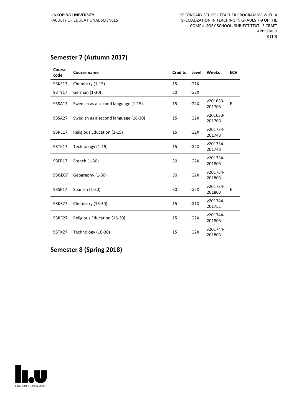#### **Semester 7 (Autumn 2017)**

| Course<br>code | Course name                          | <b>Credits</b> | Level            | Weeks              | <b>ECV</b> |
|----------------|--------------------------------------|----------------|------------------|--------------------|------------|
| 93KE17         | Chemistry (1-15)                     | 15             | G1X              |                    |            |
| 93TY17         | German (1-30)                        | 30             | G2X              |                    |            |
| 93SA17         | Swedish as a second language (1-15)  | 15             | G <sub>2</sub> X | v201633-<br>201703 | E          |
| 93SA27         | Swedish as a second language (16-30) | 15             | G2X              | v201633-<br>201703 |            |
| 93RE17         | Religious Education (1-15)           | 15             | G2X              | v201734-<br>201743 |            |
| 93TK17         | Technology (1-15)                    | 15             | G2X              | v201734-<br>201743 |            |
| 93FR17         | French (1-30)                        | 30             | G2X              | v201734-<br>201803 |            |
| 93GE07         | Geography (1-30)                     | 30             | G <sub>2</sub> X | v201734-<br>201803 |            |
| 93SP17         | Spanish (1-30)                       | 30             | G2X              | v201734-<br>201803 | E          |
| 93KE27         | Chemistry (16-30)                    | 15             | G1X              | v201744-<br>201751 |            |
| 93RE27         | Religious Education (16-30)          | 15             | G <sub>2</sub> X | v201744-<br>201803 |            |
| 93TK27         | Technology (16-30)                   | 15             | G <sub>2</sub> X | v201744-<br>201803 |            |

**Semester 8 (Spring 2018)**

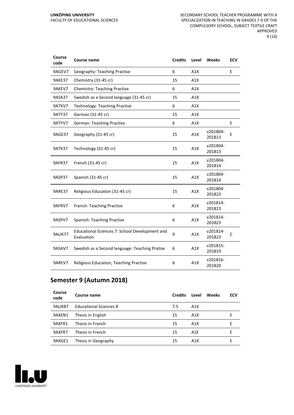| Course<br>code | Course name                                                  | <b>Credits</b> | Level | Weeks              | <b>ECV</b> |
|----------------|--------------------------------------------------------------|----------------|-------|--------------------|------------|
| 9AGEV7         | Geography: Teaching Practise                                 | 6              | A1X   |                    | E          |
| 9AKE37         | Chemistry (31-45 cr)                                         | 15             | A1X   |                    |            |
| 9AKEV7         | <b>Chemistry: Teaching Practise</b>                          | 6              | A1X   |                    |            |
| 9ASA37         | Swedish as a Second language (31-45 cr)                      | 15             | A1X   |                    |            |
| 9ATKV7         | <b>Technology: Teaching Practise</b>                         | 6              | A1X   |                    |            |
| <b>9ATY37</b>  | German (31-45 cr)                                            | 15             | A1X   |                    |            |
| 9ATYV7         | <b>German: Teaching Practise</b>                             | 6              | A1X   |                    | E          |
| 9AGE37         | Geography (31-45 cr)                                         | 15             | A1X   | v201804-<br>201813 | E          |
| 9ATK37         | Technology (31-45 cr)                                        | 15             | A1X   | v201804-<br>201813 |            |
| 9AFR37         | French (31-45 cr)                                            | 15             | A1X   | v201804-<br>201814 |            |
| 9ASP37         | Spanish (31-45 cr)                                           | 15             | A1X   | v201804-<br>201814 |            |
| <b>9ARE37</b>  | Religious Education (31-45 cr)                               | 15             | A1X   | v201804-<br>201823 |            |
| 9AFRV7         | French: Teaching Practise                                    | 6              | A1X   | v201814-<br>201823 |            |
| 9ASPV7         | Spanish: Teaching Practise                                   | 6              | A1X   | v201814-<br>201823 |            |
| <b>9AUK77</b>  | Educational Sciences 7: School Development and<br>Evaluation | 9              | A1X   | v201814-<br>201823 | C          |
| 9ASAV7         | Swedish as a Second language: Teaching Pratise               | 6              | A1X   | v201815-<br>201819 |            |
| 9AREV7         | Religious Education, Teaching Practise                       | 6              | A1X   | v201816-<br>201820 |            |

#### **Semester 9 (Autumn 2018)**

| Course<br>code | Course name                   | <b>Credits</b> | Level            | Weeks | <b>ECV</b> |
|----------------|-------------------------------|----------------|------------------|-------|------------|
| <b>9AUK87</b>  | <b>Educational Sciences 8</b> | 7.5            | A1X              |       |            |
| 9AXEN1         | Thesis in English             | 15             | A1X              |       | E.         |
| 9AXFR1         | Thesis in French              | 15             | A1X              |       | F          |
| 9AXFR7         | Thesis in French              | 15             | A <sub>1</sub> E |       | F          |
| 9AXGE1         | Thesis in Geography           | 15             | A <sub>1</sub> X |       |            |